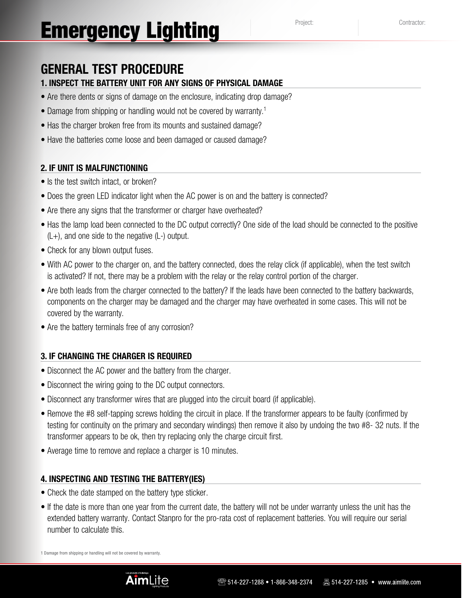# **General Test Procedure**

## **1. Inspect the battery unit for any signs of physical damage**

- Are there dents or signs of damage on the enclosure, indicating drop damage?
- Damage from shipping or handling would not be covered by warranty.<sup>1</sup>
- Has the charger broken free from its mounts and sustained damage?
- Have the batteries come loose and been damaged or caused damage?

#### **2. If unit is malfunctioning**

- Is the test switch intact, or broken?
- Does the green LED indicator light when the AC power is on and the battery is connected?
- Are there any signs that the transformer or charger have overheated?
- Has the lamp load been connected to the DC output correctly? One side of the load should be connected to the positive (L+), and one side to the negative (L-) output.
- Check for any blown output fuses.
- With AC power to the charger on, and the battery connected, does the relay click (if applicable), when the test switch is activated? If not, there may be a problem with the relay or the relay control portion of the charger.
- Are both leads from the charger connected to the battery? If the leads have been connected to the battery backwards, components on the charger may be damaged and the charger may have overheated in some cases. This will not be covered by the warranty.
- Are the battery terminals free of any corrosion?

### **3. If changing the charger is required**

- Disconnect the AC power and the battery from the charger.
- Disconnect the wiring going to the DC output connectors.
- Disconnect any transformer wires that are plugged into the circuit board (if applicable).
- Remove the #8 self-tapping screws holding the circuit in place. If the transformer appears to be faulty (confirmed by testing for continuity on the primary and secondary windings) then remove it also by undoing the two #8- 32 nuts. If the transformer appears to be ok, then try replacing only the charge circuit first.
- Average time to remove and replace a charger is 10 minutes.

#### **4. Inspecting and testing the battery(IEs)**

- Check the date stamped on the battery type sticker.
- If the date is more than one year from the current date, the battery will not be under warranty unless the unit has the extended battery warranty. Contact Stanpro for the pro-rata cost of replacement batteries. You will require our serial number to calculate this.

1 Damage from shipping or handling will not be covered by warranty.